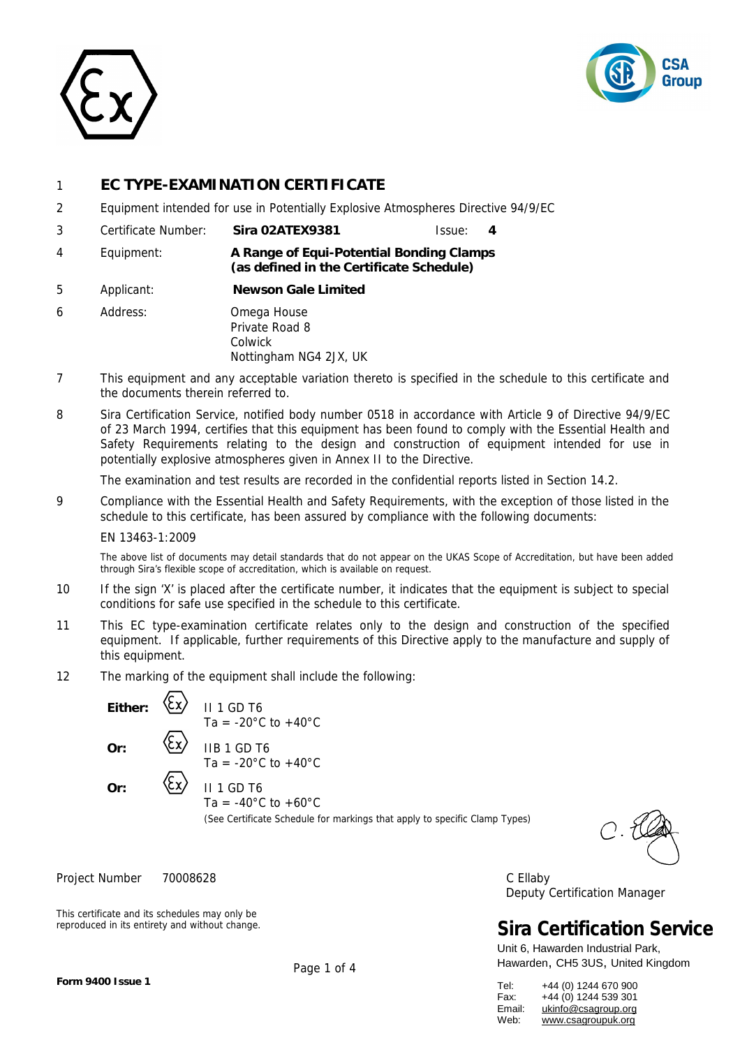



## 1 **EC TYPE-EXAMINATION CERTIFICATE**

- 2 Equipment intended for use in Potentially Explosive Atmospheres Directive 94/9/EC
- 3 Certificate Number: **Sira 02ATEX9381** Issue: **4**
- 4 Equipment: **A Range of Equi-Potential Bonding Clamps (as defined in the Certificate Schedule)**
- 5 Applicant: **Newson Gale Limited**
- 6 Address: Omega House Private Road 8 Colwick Nottingham NG4 2JX, UK
- 7 This equipment and any acceptable variation thereto is specified in the schedule to this certificate and the documents therein referred to.
- 8 Sira Certification Service, notified body number 0518 in accordance with Article 9 of Directive 94/9/EC of 23 March 1994, certifies that this equipment has been found to comply with the Essential Health and Safety Requirements relating to the design and construction of equipment intended for use in potentially explosive atmospheres given in Annex II to the Directive.

The examination and test results are recorded in the confidential reports listed in Section 14.2.

9 Compliance with the Essential Health and Safety Requirements, with the exception of those listed in the schedule to this certificate, has been assured by compliance with the following documents:

#### EN 13463-1:2009

The above list of documents may detail standards that do not appear on the UKAS Scope of Accreditation, but have been added through Sira's flexible scope of accreditation, which is available on request.

- 10 If the sign 'X' is placed after the certificate number, it indicates that the equipment is subject to special conditions for safe use specified in the schedule to this certificate.
- 11 This EC type-examination certificate relates only to the design and construction of the specified equipment. If applicable, further requirements of this Directive apply to the manufacture and supply of this equipment.
- 12 The marking of the equipment shall include the following:

Either:  $\langle$ CX/ II 1 GD T6  $Or:$   $\langle \zeta x \rangle$  II 1 GD T6

 $Or:$   $\langle \zeta x \rangle$  IIB 1 GD T6 Ta =  $-20^{\circ}$ C to  $+40^{\circ}$ C

Ta =  $-20^{\circ}$ C to  $+40^{\circ}$ C

Ta =  $-40^{\circ}$ C to  $+60^{\circ}$ C

(See Certificate Schedule for markings that apply to specific Clamp Types)

Project Number 70008628 C Ellaby Deputy Certification Manager

## **Sira Certification Service**

Unit 6, Hawarden Industrial Park, Hawarden, CH5 3US, United Kingdom

| Tel:   | +44 (0) 1244 670 900 |
|--------|----------------------|
| Fax:   | +44 (0) 1244 539 301 |
| Email: | ukinfo@csagroup.org  |
| Web:   | www.csagroupuk.org   |

This certificate and its schedules may only be reproduced in its entirety and without change.

Page 1 of 4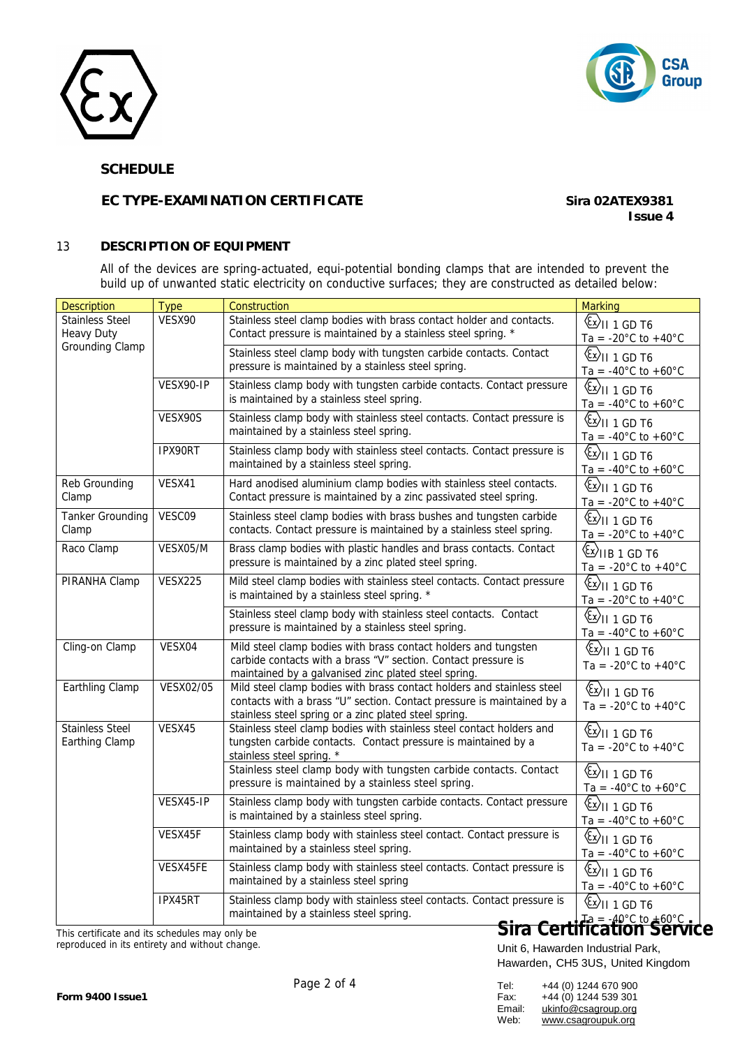



## **SCHEDULE**

## **EC TYPE-EXAMINATION CERTIFICATE** *Sira 02ATEX9381*

**Issue 4**

### 13 **DESCRIPTION OF EQUIPMENT**

All of the devices are spring-actuated, equi-potential bonding clamps that are intended to prevent the build up of unwanted static electricity on conductive surfaces; they are constructed as detailed below:

| <b>Description</b>                             | <b>Type</b>    | Construction                                                                                                                                                                                              | <b>Marking</b>                                                                                                    |
|------------------------------------------------|----------------|-----------------------------------------------------------------------------------------------------------------------------------------------------------------------------------------------------------|-------------------------------------------------------------------------------------------------------------------|
| <b>Stainless Steel</b><br><b>Heavy Duty</b>    | VESX90         | Stainless steel clamp bodies with brass contact holder and contacts.<br>Contact pressure is maintained by a stainless steel spring. *                                                                     | $\langle \overline{\mathfrak{c}} \mathfrak{x} \rangle$ II 1 GD T6<br>Ta = $-20^{\circ}$ C to $+40^{\circ}$ C      |
| <b>Grounding Clamp</b>                         |                | Stainless steel clamp body with tungsten carbide contacts. Contact<br>pressure is maintained by a stainless steel spring.                                                                                 | $\langle \overline{\mathbb{E}} \times \mathbb{E} \rangle$ II 1 GD T6<br>Ta = -40 $^{\circ}$ C to +60 $^{\circ}$ C |
|                                                | VESX90-IP      | Stainless clamp body with tungsten carbide contacts. Contact pressure<br>is maintained by a stainless steel spring.                                                                                       | $\circledS$ II 1 GD T6<br>Ta = $-40^{\circ}$ C to $+60^{\circ}$ C                                                 |
|                                                | VESX90S        | Stainless clamp body with stainless steel contacts. Contact pressure is<br>maintained by a stainless steel spring.                                                                                        | $\langle x \rangle$ II 1 GD T6<br>Ta = $-40^{\circ}$ C to $+60^{\circ}$ C                                         |
|                                                | IPX90RT        | Stainless clamp body with stainless steel contacts. Contact pressure is<br>maintained by a stainless steel spring.                                                                                        | $\langle x \rangle$ II 1 GD T6<br>Ta = $-40^{\circ}$ C to $+60^{\circ}$ C                                         |
| Reb Grounding<br>Clamp                         | VESX41         | Hard anodised aluminium clamp bodies with stainless steel contacts.<br>Contact pressure is maintained by a zinc passivated steel spring.                                                                  | $\langle x \rangle$ II 1 GD T6<br>Ta = $-20^{\circ}$ C to $+40^{\circ}$ C                                         |
| <b>Tanker Grounding</b><br>Clamp               | VESC09         | Stainless steel clamp bodies with brass bushes and tungsten carbide<br>contacts. Contact pressure is maintained by a stainless steel spring.                                                              | $\langle x \rangle$ II 1 GD T6<br>Ta = $-20^{\circ}$ C to $+40^{\circ}$ C                                         |
| Raco Clamp                                     | VESX05/M       | Brass clamp bodies with plastic handles and brass contacts. Contact<br>pressure is maintained by a zinc plated steel spring.                                                                              | $\langle x \rangle$ IIB 1 GD T6<br>Ta = -20 $^{\circ}$ C to +40 $^{\circ}$ C                                      |
| PIRANHA Clamp                                  | <b>VESX225</b> | Mild steel clamp bodies with stainless steel contacts. Contact pressure<br>is maintained by a stainless steel spring. *                                                                                   | $\langle x \rangle$ II 1 GD T6<br>Ta = $-20^{\circ}$ C to $+40^{\circ}$ C                                         |
|                                                |                | Stainless steel clamp body with stainless steel contacts. Contact<br>pressure is maintained by a stainless steel spring.                                                                                  | $\langle x \rangle$ II 1 GD T6<br>Ta = $-40^{\circ}$ C to $+60^{\circ}$ C                                         |
| Cling-on Clamp                                 | VESX04         | Mild steel clamp bodies with brass contact holders and tungsten<br>carbide contacts with a brass "V" section. Contact pressure is<br>maintained by a galvanised zinc plated steel spring.                 | $\langle x \rangle$ II 1 GD T6<br>Ta = $-20^{\circ}$ C to $+40^{\circ}$ C                                         |
| Earthling Clamp                                | VESX02/05      | Mild steel clamp bodies with brass contact holders and stainless steel<br>contacts with a brass "U" section. Contact pressure is maintained by a<br>stainless steel spring or a zinc plated steel spring. | $\overline{\mathbb{E}}$ ll 1 GD T6<br>Ta = -20 $^{\circ}$ C to +40 $^{\circ}$ C                                   |
| <b>Stainless Steel</b><br>Earthing Clamp       | VESX45         | Stainless steel clamp bodies with stainless steel contact holders and<br>tungsten carbide contacts. Contact pressure is maintained by a<br>stainless steel spring. *                                      | $\overline{\mathbb{C}}$ ll 1 GD T6<br>Ta = -20 $^{\circ}$ C to +40 $^{\circ}$ C                                   |
|                                                |                | Stainless steel clamp body with tungsten carbide contacts. Contact<br>pressure is maintained by a stainless steel spring.                                                                                 | $\overline{\mathbb{E}}$ ll 1 GD T6<br>Ta = $-40^{\circ}$ C to $+60^{\circ}$ C                                     |
|                                                | VESX45-IP      | Stainless clamp body with tungsten carbide contacts. Contact pressure<br>is maintained by a stainless steel spring.                                                                                       | $\langle \overline{\mathbb{E}} \mathbb{E} \rangle$ II 1 GD T6<br>Ta = $-40^{\circ}$ C to $+60^{\circ}$ C          |
|                                                | VESX45F        | Stainless clamp body with stainless steel contact. Contact pressure is<br>maintained by a stainless steel spring.                                                                                         | $\langle \overline{\mathbb{E}} \rangle$ II 1 GD T6<br>Ta = -40 $^{\circ}$ C to +60 $^{\circ}$ C                   |
|                                                | VESX45FE       | Stainless clamp body with stainless steel contacts. Contact pressure is<br>maintained by a stainless steel spring                                                                                         | $\langle x \rangle$ II 1 GD T6<br>Ta = $-40^{\circ}$ C to $+60^{\circ}$ C                                         |
|                                                | IPX45RT        | Stainless clamp body with stainless steel contacts. Contact pressure is<br>maintained by a stainless steel spring.                                                                                        | $\langle x \rangle$ II 1 GD T6<br>  10° <sub>00≠ 10°C</sub> to +60°C<br>Sira Certification Service                |
| This certificate and its schedules may only be |                |                                                                                                                                                                                                           |                                                                                                                   |

reproduced in its entirety and without change.

| Tel:   | +44 (0) 1244 670 900 |
|--------|----------------------|
| Fax:   | +44 (0) 1244 539 301 |
| Email: | ukinfo@csagroup.org  |
| Web:   | www.csagroupuk.org   |
|        |                      |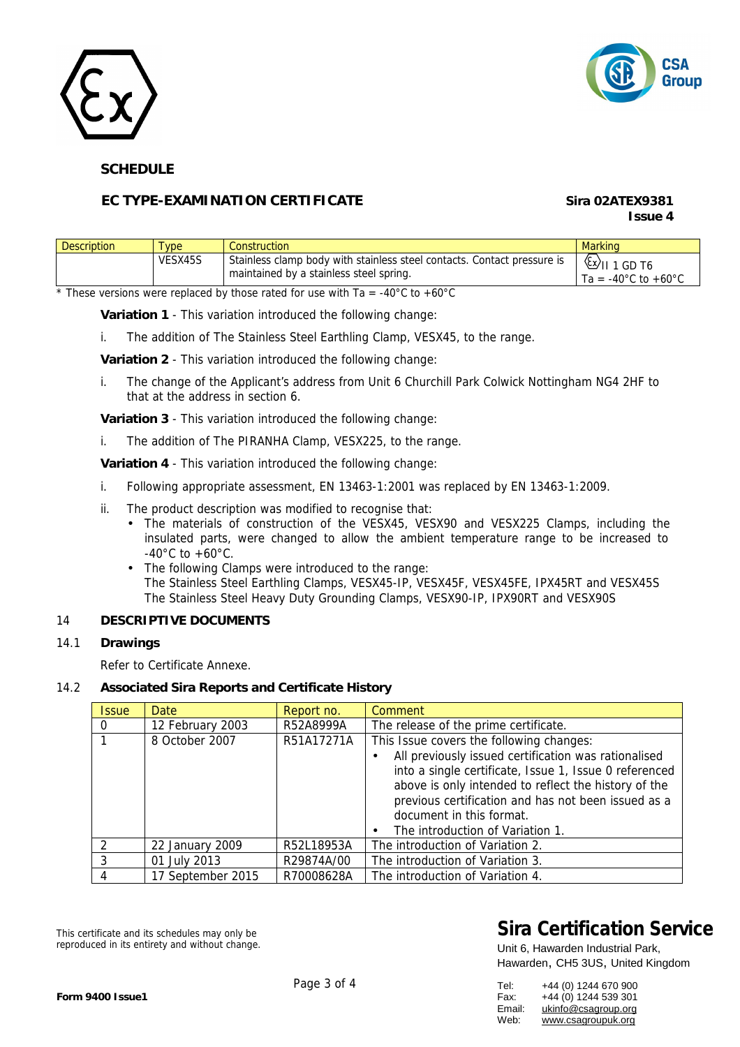



## **SCHEDULE**

## **EC TYPE-EXAMINATION CERTIFICATE** *Sira 02ATEX9381*

# **Issue 4**

| <b>Description</b> | ype     | Construction                                                                                                       | <b>Marking</b>                                                                                                             |
|--------------------|---------|--------------------------------------------------------------------------------------------------------------------|----------------------------------------------------------------------------------------------------------------------------|
|                    | VESX45S | Stainless clamp body with stainless steel contacts. Contact pressure is<br>maintained by a stainless steel spring. | $\frac{\left\langle \xi x \right\rangle}{\left\vert x \right\rangle}$ 1 GD T6<br>Ta = -40 $^{\circ}$ C to +60 $^{\circ}$ C |

 $\overline{\phantom{a}}$  These versions were replaced by those rated for use with Ta = -40°C to +60°C

**Variation 1** - This variation introduced the following change:

i. The addition of The Stainless Steel Earthling Clamp, VESX45, to the range.

**Variation 2** - This variation introduced the following change:

i. The change of the Applicant's address from Unit 6 Churchill Park Colwick Nottingham NG4 2HF to that at the address in section 6.

**Variation 3** - This variation introduced the following change:

i. The addition of The PIRANHA Clamp, VESX225, to the range.

**Variation 4** - This variation introduced the following change:

- i. Following appropriate assessment, EN 13463-1:2001 was replaced by EN 13463-1:2009.
- ii. The product description was modified to recognise that:
	- The materials of construction of the VESX45, VESX90 and VESX225 Clamps, including the insulated parts, were changed to allow the ambient temperature range to be increased to  $-40^{\circ}$ C to  $+60^{\circ}$ C.
	- The following Clamps were introduced to the range: The Stainless Steel Earthling Clamps, VESX45-IP, VESX45F, VESX45FE, IPX45RT and VESX45S The Stainless Steel Heavy Duty Grounding Clamps, VESX90-IP, IPX90RT and VESX90S

## 14 **DESCRIPTIVE DOCUMENTS**

#### 14.1 **Drawings**

Refer to Certificate Annexe.

#### 14.2 **Associated Sira Reports and Certificate History**

| <b>Issue</b> | Date              | Report no. | Comment                                                                                                                                                                                                                                                                                                                                                     |
|--------------|-------------------|------------|-------------------------------------------------------------------------------------------------------------------------------------------------------------------------------------------------------------------------------------------------------------------------------------------------------------------------------------------------------------|
| 0            | 12 February 2003  | R52A8999A  | The release of the prime certificate.                                                                                                                                                                                                                                                                                                                       |
|              | 8 October 2007    | R51A17271A | This Issue covers the following changes:<br>All previously issued certification was rationalised<br>$\bullet$<br>into a single certificate, Issue 1, Issue 0 referenced<br>above is only intended to reflect the history of the<br>previous certification and has not been issued as a<br>document in this format.<br>The introduction of Variation 1.<br>٠ |
| 2            | 22 January 2009   | R52L18953A | The introduction of Variation 2.                                                                                                                                                                                                                                                                                                                            |
|              | 01 July 2013      | R29874A/00 | The introduction of Variation 3.                                                                                                                                                                                                                                                                                                                            |
|              | 17 September 2015 | R70008628A | The introduction of Variation 4.                                                                                                                                                                                                                                                                                                                            |

This certificate and its schedules may only be reproduced in its entirety and without change.

## **Sira Certification Service**

| Tel:   | +44 (0) 1244 670 900 |
|--------|----------------------|
| Fax:   | +44 (0) 1244 539 301 |
| Email: | ukinfo@csagroup.org  |
| Web:   | www.csagroupuk.org   |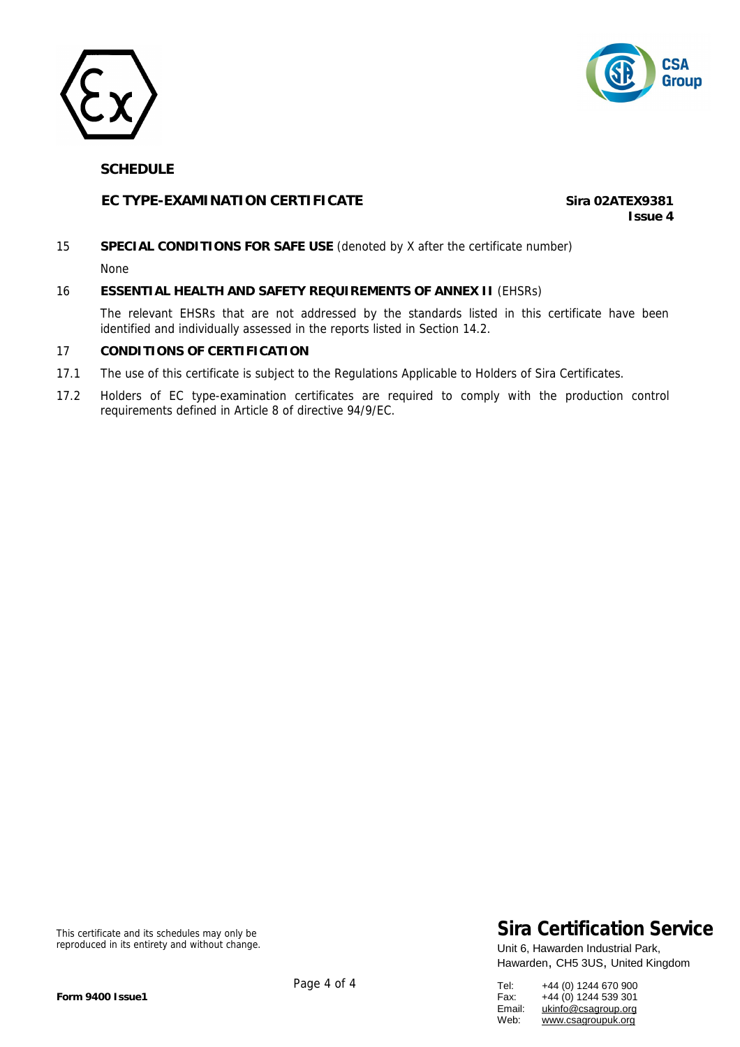



## **SCHEDULE**

## **EC TYPE-EXAMINATION CERTIFICATE** *Sira 02ATEX9381*

**Issue 4**

## 15 **SPECIAL CONDITIONS FOR SAFE USE** (denoted by X after the certificate number)

None

### 16 **ESSENTIAL HEALTH AND SAFETY REQUIREMENTS OF ANNEX II** (EHSRs)

The relevant EHSRs that are not addressed by the standards listed in this certificate have been identified and individually assessed in the reports listed in Section 14.2.

### 17 **CONDITIONS OF CERTIFICATION**

- 17.1 The use of this certificate is subject to the Regulations Applicable to Holders of Sira Certificates.
- 17.2 Holders of EC type-examination certificates are required to comply with the production control requirements defined in Article 8 of directive 94/9/EC.

This certificate and its schedules may only be reproduced in its entirety and without change.

## **Sira Certification Service**

| Tel:   | +44 (0) 1244 670 900 |
|--------|----------------------|
| Fax:   | +44 (0) 1244 539 301 |
| Email: | ukinfo@csagroup.org  |
| Web:   | www.csagroupuk.org   |